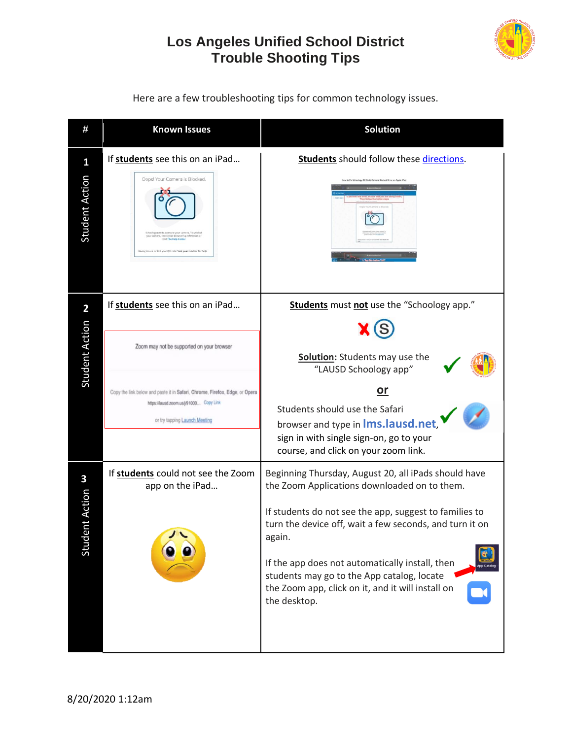## **Los Angeles Unified School District Trouble Shooting Tips**



**# Known Issues Solution** If **students** see this on an iPad... **Students** should follow these [directions.](https://bit.ly/3aIuyQF) **1** Student Action Oops! Your Camera is Blocked. If **students** see this on an iPad... | Students must not use the "Schoology app." **2** Student Action (S Zoom may not be supported on your browser **Solution:** Students may use the "LAUSD Schoology app" **or** Copy the link below and paste it in Safari, Chrome, Firefox, Edge, or Opera https://lausd.zoom.us/j/91000... Copy Link Students should use the Safari or try tapping Launch Meeting browser and type in **lms.lausd.net**, sign in with single sign-on, go to your course, and click on your zoom link. If **students** could not see the Zoom Beginning Thursday, August 20, all iPads should have **3**app on the iPad… the Zoom Applications downloaded on to them. Student Action If students do not see the app, suggest to families to turn the device off, wait a few seconds, and turn it on again. If the app does not automatically install, then students may go to the App catalog, locate the Zoom app, click on it, and it will install on the desktop.

Here are a few troubleshooting tips for common technology issues.